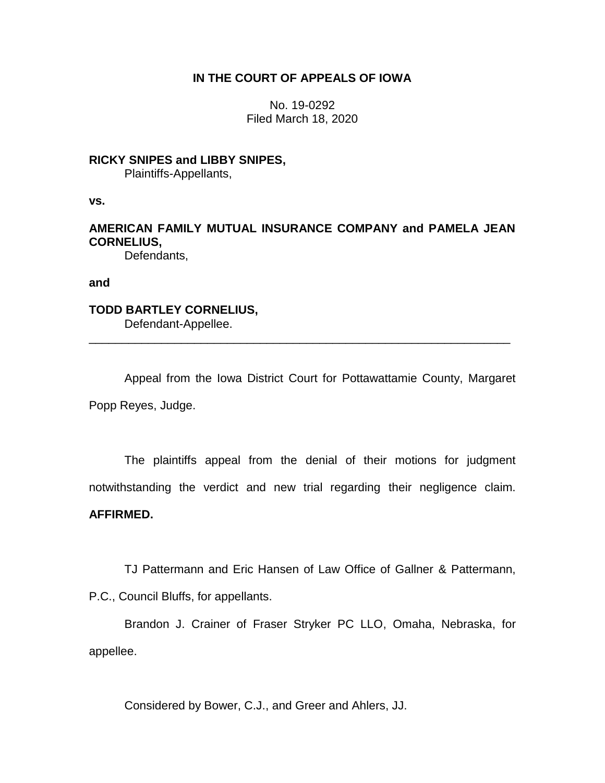### **IN THE COURT OF APPEALS OF IOWA**

No. 19-0292 Filed March 18, 2020

### **RICKY SNIPES and LIBBY SNIPES,**

Plaintiffs-Appellants,

**vs.**

# **AMERICAN FAMILY MUTUAL INSURANCE COMPANY and PAMELA JEAN CORNELIUS,**

Defendants,

**and**

# **TODD BARTLEY CORNELIUS,**

Defendant-Appellee. \_\_\_\_\_\_\_\_\_\_\_\_\_\_\_\_\_\_\_\_\_\_\_\_\_\_\_\_\_\_\_\_\_\_\_\_\_\_\_\_\_\_\_\_\_\_\_\_\_\_\_\_\_\_\_\_\_\_\_\_\_\_\_\_

Appeal from the Iowa District Court for Pottawattamie County, Margaret Popp Reyes, Judge.

The plaintiffs appeal from the denial of their motions for judgment notwithstanding the verdict and new trial regarding their negligence claim.

## **AFFIRMED.**

TJ Pattermann and Eric Hansen of Law Office of Gallner & Pattermann,

P.C., Council Bluffs, for appellants.

Brandon J. Crainer of Fraser Stryker PC LLO, Omaha, Nebraska, for appellee.

Considered by Bower, C.J., and Greer and Ahlers, JJ.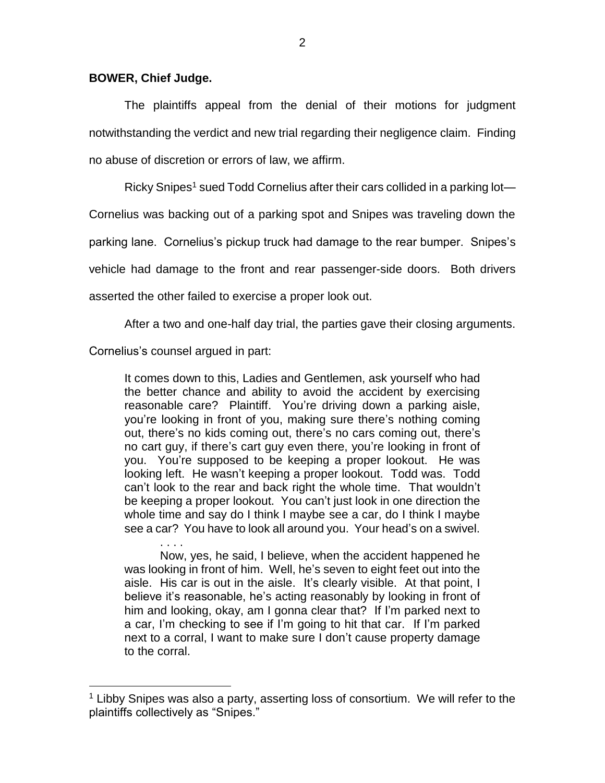#### **BOWER, Chief Judge.**

The plaintiffs appeal from the denial of their motions for judgment notwithstanding the verdict and new trial regarding their negligence claim. Finding no abuse of discretion or errors of law, we affirm.

Ricky Snipes<sup>1</sup> sued Todd Cornelius after their cars collided in a parking lot—

Cornelius was backing out of a parking spot and Snipes was traveling down the

parking lane. Cornelius's pickup truck had damage to the rear bumper. Snipes's

vehicle had damage to the front and rear passenger-side doors. Both drivers

asserted the other failed to exercise a proper look out.

After a two and one-half day trial, the parties gave their closing arguments.

Cornelius's counsel argued in part:

 $\overline{a}$ 

It comes down to this, Ladies and Gentlemen, ask yourself who had the better chance and ability to avoid the accident by exercising reasonable care? Plaintiff. You're driving down a parking aisle, you're looking in front of you, making sure there's nothing coming out, there's no kids coming out, there's no cars coming out, there's no cart guy, if there's cart guy even there, you're looking in front of you. You're supposed to be keeping a proper lookout. He was looking left. He wasn't keeping a proper lookout. Todd was. Todd can't look to the rear and back right the whole time. That wouldn't be keeping a proper lookout. You can't just look in one direction the whole time and say do I think I maybe see a car, do I think I maybe see a car? You have to look all around you. Your head's on a swivel.

. . . . Now, yes, he said, I believe, when the accident happened he was looking in front of him. Well, he's seven to eight feet out into the aisle. His car is out in the aisle. It's clearly visible. At that point, I believe it's reasonable, he's acting reasonably by looking in front of him and looking, okay, am I gonna clear that? If I'm parked next to a car, I'm checking to see if I'm going to hit that car. If I'm parked next to a corral, I want to make sure I don't cause property damage to the corral.

<sup>1</sup> Libby Snipes was also a party, asserting loss of consortium. We will refer to the plaintiffs collectively as "Snipes."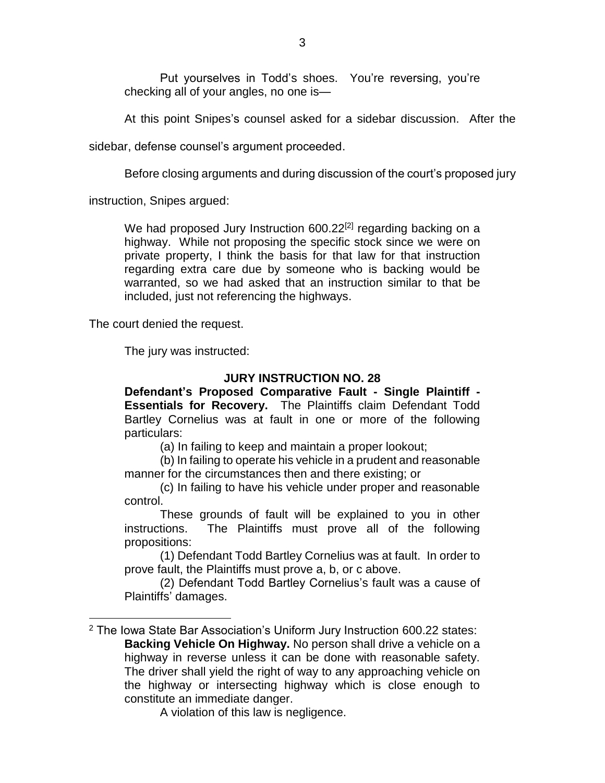Put yourselves in Todd's shoes. You're reversing, you're checking all of your angles, no one is—

At this point Snipes's counsel asked for a sidebar discussion. After the

sidebar, defense counsel's argument proceeded.

Before closing arguments and during discussion of the court's proposed jury

instruction, Snipes argued:

We had proposed Jury Instruction 600.22<sup>[2]</sup> regarding backing on a highway. While not proposing the specific stock since we were on private property, I think the basis for that law for that instruction regarding extra care due by someone who is backing would be warranted, so we had asked that an instruction similar to that be included, just not referencing the highways.

The court denied the request.

 $\overline{a}$ 

The jury was instructed:

### **JURY INSTRUCTION NO. 28**

**Defendant's Proposed Comparative Fault - Single Plaintiff - Essentials for Recovery.** The Plaintiffs claim Defendant Todd Bartley Cornelius was at fault in one or more of the following particulars:

(a) In failing to keep and maintain a proper lookout;

(b) In failing to operate his vehicle in a prudent and reasonable manner for the circumstances then and there existing; or

(c) In failing to have his vehicle under proper and reasonable control.

These grounds of fault will be explained to you in other instructions. The Plaintiffs must prove all of the following propositions:

(1) Defendant Todd Bartley Cornelius was at fault. In order to prove fault, the Plaintiffs must prove a, b, or c above.

(2) Defendant Todd Bartley Cornelius's fault was a cause of Plaintiffs' damages.

A violation of this law is negligence.

<sup>2</sup> The Iowa State Bar Association's Uniform Jury Instruction 600.22 states: **Backing Vehicle On Highway.** No person shall drive a vehicle on a highway in reverse unless it can be done with reasonable safety. The driver shall yield the right of way to any approaching vehicle on the highway or intersecting highway which is close enough to constitute an immediate danger.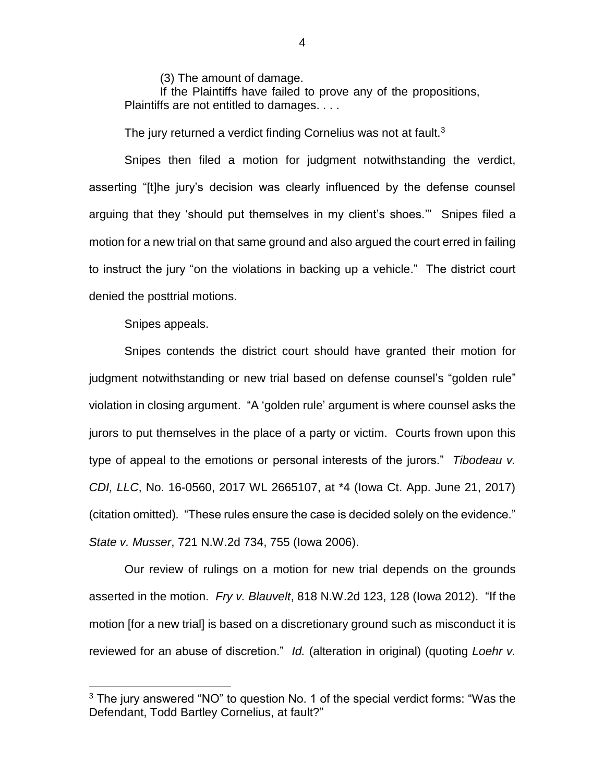(3) The amount of damage.

If the Plaintiffs have failed to prove any of the propositions, Plaintiffs are not entitled to damages. . . .

The jury returned a verdict finding Cornelius was not at fault.<sup>3</sup>

Snipes then filed a motion for judgment notwithstanding the verdict, asserting "[t]he jury's decision was clearly influenced by the defense counsel arguing that they 'should put themselves in my client's shoes.'" Snipes filed a motion for a new trial on that same ground and also argued the court erred in failing to instruct the jury "on the violations in backing up a vehicle." The district court denied the posttrial motions.

Snipes appeals.

 $\overline{a}$ 

Snipes contends the district court should have granted their motion for judgment notwithstanding or new trial based on defense counsel's "golden rule" violation in closing argument. "A 'golden rule' argument is where counsel asks the jurors to put themselves in the place of a party or victim. Courts frown upon this type of appeal to the emotions or personal interests of the jurors." *Tibodeau v. CDI, LLC*, No. 16-0560, 2017 WL 2665107, at \*4 (Iowa Ct. App. June 21, 2017) (citation omitted)*.* "These rules ensure the case is decided solely on the evidence." *State v. Musser*, 721 N.W.2d 734, 755 (Iowa 2006).

Our review of rulings on a motion for new trial depends on the grounds asserted in the motion. *Fry v. Blauvelt*, 818 N.W.2d 123, 128 (Iowa 2012). "If the motion [for a new trial] is based on a discretionary ground such as misconduct it is reviewed for an abuse of discretion." *Id.* (alteration in original) (quoting *Loehr v.* 

4

 $3$  The jury answered "NO" to question No. 1 of the special verdict forms: "Was the Defendant, Todd Bartley Cornelius, at fault?"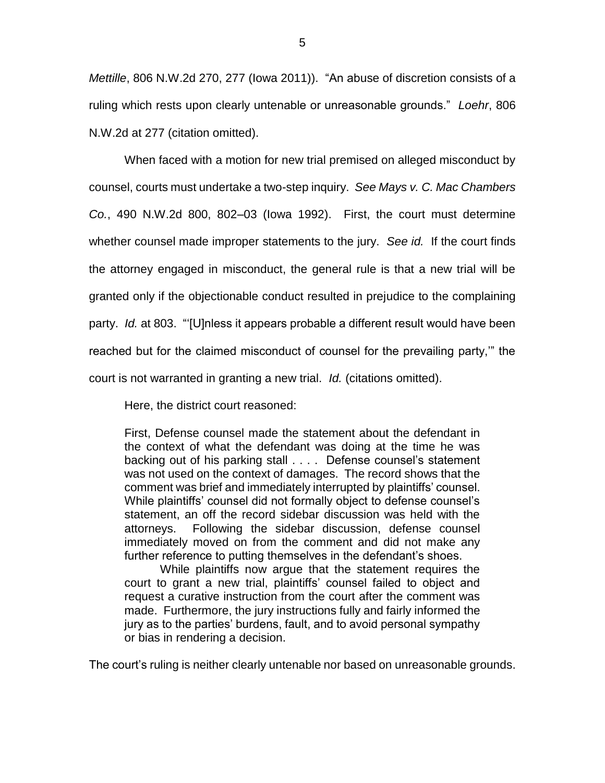*Mettille*, 806 N.W.2d 270, 277 (Iowa 2011)). "An abuse of discretion consists of a ruling which rests upon clearly untenable or unreasonable grounds." *Loehr*, 806 N.W.2d at 277 (citation omitted).

When faced with a motion for new trial premised on alleged misconduct by counsel, courts must undertake a two-step inquiry. *See Mays v. C. Mac Chambers Co.*, 490 N.W.2d 800, 802–03 (Iowa 1992). First, the court must determine whether counsel made improper statements to the jury. *See id.* If the court finds the attorney engaged in misconduct, the general rule is that a new trial will be granted only if the objectionable conduct resulted in prejudice to the complaining party. *Id.* at 803. "'[U]nless it appears probable a different result would have been reached but for the claimed misconduct of counsel for the prevailing party,'" the court is not warranted in granting a new trial. *Id.* (citations omitted).

Here, the district court reasoned:

First, Defense counsel made the statement about the defendant in the context of what the defendant was doing at the time he was backing out of his parking stall . . . . Defense counsel's statement was not used on the context of damages. The record shows that the comment was brief and immediately interrupted by plaintiffs' counsel. While plaintiffs' counsel did not formally object to defense counsel's statement, an off the record sidebar discussion was held with the attorneys. Following the sidebar discussion, defense counsel immediately moved on from the comment and did not make any further reference to putting themselves in the defendant's shoes.

While plaintiffs now argue that the statement requires the court to grant a new trial, plaintiffs' counsel failed to object and request a curative instruction from the court after the comment was made. Furthermore, the jury instructions fully and fairly informed the jury as to the parties' burdens, fault, and to avoid personal sympathy or bias in rendering a decision.

The court's ruling is neither clearly untenable nor based on unreasonable grounds.